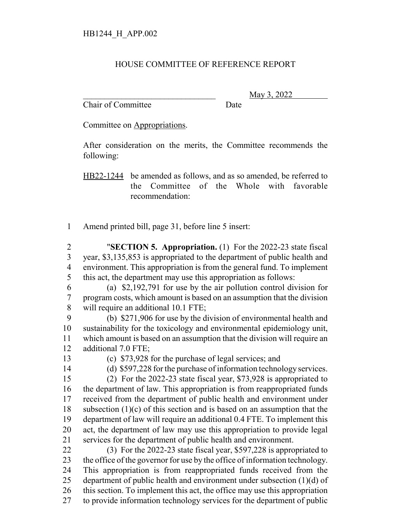## HOUSE COMMITTEE OF REFERENCE REPORT

Chair of Committee Date

\_\_\_\_\_\_\_\_\_\_\_\_\_\_\_\_\_\_\_\_\_\_\_\_\_\_\_\_\_\_\_ May 3, 2022

Committee on Appropriations.

After consideration on the merits, the Committee recommends the following:

HB22-1244 be amended as follows, and as so amended, be referred to the Committee of the Whole with favorable recommendation:

Amend printed bill, page 31, before line 5 insert:

 "**SECTION 5. Appropriation.** (1) For the 2022-23 state fiscal year, \$3,135,853 is appropriated to the department of public health and environment. This appropriation is from the general fund. To implement this act, the department may use this appropriation as follows:

 (a) \$2,192,791 for use by the air pollution control division for program costs, which amount is based on an assumption that the division will require an additional 10.1 FTE;

 (b) \$271,906 for use by the division of environmental health and sustainability for the toxicology and environmental epidemiology unit, which amount is based on an assumption that the division will require an additional 7.0 FTE;

(c) \$73,928 for the purchase of legal services; and

(d) \$597,228 for the purchase of information technology services.

 (2) For the 2022-23 state fiscal year, \$73,928 is appropriated to the department of law. This appropriation is from reappropriated funds received from the department of public health and environment under 18 subsection  $(1)(c)$  of this section and is based on an assumption that the department of law will require an additional 0.4 FTE. To implement this act, the department of law may use this appropriation to provide legal services for the department of public health and environment.

 (3) For the 2022-23 state fiscal year, \$597,228 is appropriated to the office of the governor for use by the office of information technology. This appropriation is from reappropriated funds received from the 25 department of public health and environment under subsection  $(1)(d)$  of this section. To implement this act, the office may use this appropriation to provide information technology services for the department of public